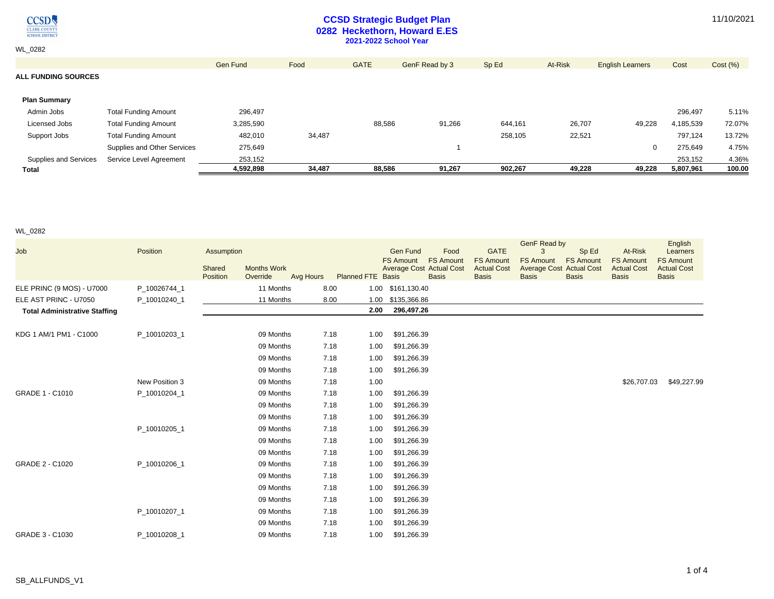$\underset{\frac{\text{CIARK COUNTY}}{\text{CIARK COUNTY}}} {\underset{\text{SCHOOL DISTRICT}}{\text{OUSTRICT}}}$ 

WL\_0282

### **CCSD Strategic Budget Plan 0282 Heckethorn, Howard E.ES 2021-2022 School Year**

|  |  |  | 11/10/2021 |
|--|--|--|------------|
|--|--|--|------------|

| Supplies and Services             | Supplies and Other Services<br>Service Level Agreement | 275.649<br>253,152 |        |             |                |         |         | $\mathbf{0}$            | 275,649<br>253,152 | 4.75%<br>4.36% |
|-----------------------------------|--------------------------------------------------------|--------------------|--------|-------------|----------------|---------|---------|-------------------------|--------------------|----------------|
| Support Jobs                      | <b>Total Funding Amount</b>                            | 482,010            | 34,487 |             |                | 258,105 | 22,521  |                         | 797,124            | 13.72%         |
| Licensed Jobs                     | <b>Total Funding Amount</b>                            | 3,285,590          |        | 88,586      | 91,266         | 644,161 | 26,707  | 49,228                  | 4,185,539          | 72.07%         |
| <b>Plan Summary</b><br>Admin Jobs | <b>Total Funding Amount</b>                            | 296.497            |        |             |                |         |         |                         | 296,497            | 5.11%          |
| <b>ALL FUNDING SOURCES</b>        |                                                        |                    |        |             |                |         |         |                         |                    |                |
|                                   |                                                        | Gen Fund           | Food   | <b>GATE</b> | GenF Read by 3 | Sp Ed   | At-Risk | <b>English Learners</b> | Cost               | Cost (%)       |
|                                   |                                                        |                    |        |             |                |         |         |                         |                    |                |

WL\_0282

| Job                                  | Position       | Assumption         |                                |           |                          | <b>Gen Fund</b><br><b>FS Amount</b> | Food<br><b>FS Amount</b>                        | <b>GATE</b><br><b>FS Amount</b>    | <b>GenF Read by</b><br>3<br><b>FS Amount</b> | Sp Ed<br><b>FS Amount</b>          | At-Risk<br><b>FS Amount</b>        | English<br>Learners<br><b>FS Amount</b> |
|--------------------------------------|----------------|--------------------|--------------------------------|-----------|--------------------------|-------------------------------------|-------------------------------------------------|------------------------------------|----------------------------------------------|------------------------------------|------------------------------------|-----------------------------------------|
|                                      |                | Shared<br>Position | <b>Months Work</b><br>Override | Avg Hours | <b>Planned FTE Basis</b> |                                     | <b>Average Cost Actual Cost</b><br><b>Basis</b> | <b>Actual Cost</b><br><b>Basis</b> | <b>Average Cost</b><br><b>Basis</b>          | <b>Actual Cost</b><br><b>Basis</b> | <b>Actual Cost</b><br><b>Basis</b> | <b>Actual Cost</b><br><b>Basis</b>      |
| ELE PRINC (9 MOS) - U7000            | P 10026744 1   |                    | 11 Months                      | 8.00      |                          | 1.00 \$161,130.40                   |                                                 |                                    |                                              |                                    |                                    |                                         |
| ELE AST PRINC - U7050                | P_10010240_1   |                    | 11 Months                      | 8.00      | 1.00                     | \$135,366.86                        |                                                 |                                    |                                              |                                    |                                    |                                         |
| <b>Total Administrative Staffing</b> |                |                    |                                |           | 2.00                     | 296,497.26                          |                                                 |                                    |                                              |                                    |                                    |                                         |
|                                      |                |                    |                                |           |                          |                                     |                                                 |                                    |                                              |                                    |                                    |                                         |
| KDG 1 AM/1 PM1 - C1000               | P_10010203_1   |                    | 09 Months                      | 7.18      | 1.00                     | \$91,266.39                         |                                                 |                                    |                                              |                                    |                                    |                                         |
|                                      |                |                    | 09 Months                      | 7.18      | 1.00                     | \$91,266.39                         |                                                 |                                    |                                              |                                    |                                    |                                         |
|                                      |                |                    | 09 Months                      | 7.18      | 1.00                     | \$91,266.39                         |                                                 |                                    |                                              |                                    |                                    |                                         |
|                                      |                |                    | 09 Months                      | 7.18      | 1.00                     | \$91,266.39                         |                                                 |                                    |                                              |                                    |                                    |                                         |
|                                      | New Position 3 |                    | 09 Months                      | 7.18      | 1.00                     |                                     |                                                 |                                    |                                              |                                    | \$26,707.03                        | \$49,227.99                             |
| GRADE 1 - C1010                      | P_10010204_1   |                    | 09 Months                      | 7.18      | 1.00                     | \$91,266.39                         |                                                 |                                    |                                              |                                    |                                    |                                         |
|                                      |                |                    | 09 Months                      | 7.18      | 1.00                     | \$91,266.39                         |                                                 |                                    |                                              |                                    |                                    |                                         |
|                                      |                |                    | 09 Months                      | 7.18      | 1.00                     | \$91,266.39                         |                                                 |                                    |                                              |                                    |                                    |                                         |
|                                      | P 10010205 1   |                    | 09 Months                      | 7.18      | 1.00                     | \$91,266.39                         |                                                 |                                    |                                              |                                    |                                    |                                         |
|                                      |                |                    | 09 Months                      | 7.18      | 1.00                     | \$91,266.39                         |                                                 |                                    |                                              |                                    |                                    |                                         |
|                                      |                |                    | 09 Months                      | 7.18      | 1.00                     | \$91,266.39                         |                                                 |                                    |                                              |                                    |                                    |                                         |
| GRADE 2 - C1020                      | P_10010206_1   |                    | 09 Months                      | 7.18      | 1.00                     | \$91,266.39                         |                                                 |                                    |                                              |                                    |                                    |                                         |
|                                      |                |                    | 09 Months                      | 7.18      | 1.00                     | \$91,266.39                         |                                                 |                                    |                                              |                                    |                                    |                                         |
|                                      |                |                    | 09 Months                      | 7.18      | 1.00                     | \$91,266.39                         |                                                 |                                    |                                              |                                    |                                    |                                         |
|                                      |                |                    | 09 Months                      | 7.18      | 1.00                     | \$91,266.39                         |                                                 |                                    |                                              |                                    |                                    |                                         |
|                                      | P_10010207_1   |                    | 09 Months                      | 7.18      | 1.00                     | \$91,266.39                         |                                                 |                                    |                                              |                                    |                                    |                                         |
|                                      |                |                    | 09 Months                      | 7.18      | 1.00                     | \$91,266.39                         |                                                 |                                    |                                              |                                    |                                    |                                         |
| GRADE 3 - C1030                      | P_10010208_1   |                    | 09 Months                      | 7.18      | 1.00                     | \$91,266.39                         |                                                 |                                    |                                              |                                    |                                    |                                         |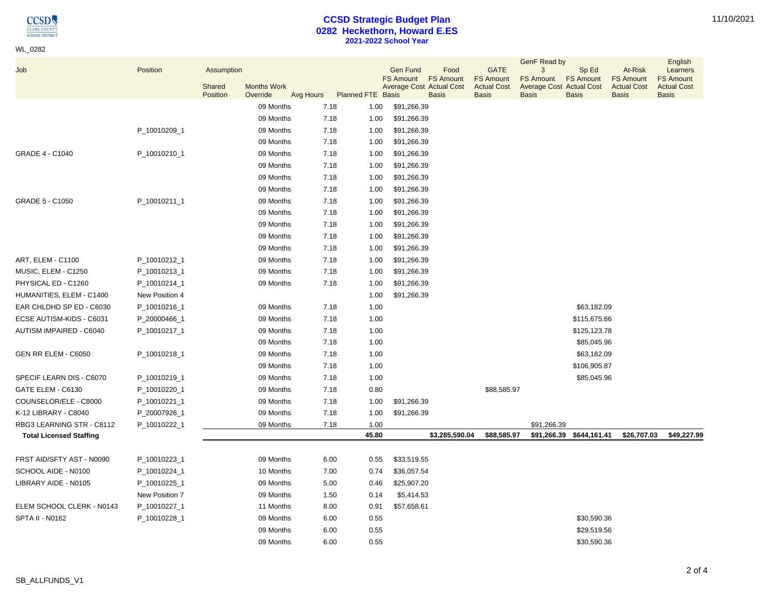$\underset{\frac{\text{CIARK COUNTY}}{\text{CIARK COUNTY}}} {\underset{\text{SCHOOL DISTRICT}}{\text{OUSTRIC}}}}$ 

WL\_0282

# **CCSD Strategic Budget Plan 0282 Heckethorn, Howard E.ES 2021-2022 School Year**

| Job                            | Position       | Assumption         |                                |           |                          | <b>Gen Fund</b>  | Food                                                                | <b>GATE</b>                                            | GenF Read by<br>3                                                   | Sp Ed                            | At-Risk                                                | English<br>Learners                                    |
|--------------------------------|----------------|--------------------|--------------------------------|-----------|--------------------------|------------------|---------------------------------------------------------------------|--------------------------------------------------------|---------------------------------------------------------------------|----------------------------------|--------------------------------------------------------|--------------------------------------------------------|
|                                |                | Shared<br>Position | <b>Months Work</b><br>Override | Avg Hours | <b>Planned FTE Basis</b> | <b>FS Amount</b> | <b>FS Amount</b><br><b>Average Cost Actual Cost</b><br><b>Basis</b> | <b>FS Amount</b><br><b>Actual Cost</b><br><b>Basis</b> | <b>FS Amount</b><br><b>Average Cost Actual Cost</b><br><b>Basis</b> | <b>FS Amount</b><br><b>Basis</b> | <b>FS Amount</b><br><b>Actual Cost</b><br><b>Basis</b> | <b>FS Amount</b><br><b>Actual Cost</b><br><b>Basis</b> |
|                                |                |                    | 09 Months                      | 7.18      | 1.00                     | \$91,266.39      |                                                                     |                                                        |                                                                     |                                  |                                                        |                                                        |
|                                |                |                    | 09 Months                      | 7.18      | 1.00                     | \$91,266.39      |                                                                     |                                                        |                                                                     |                                  |                                                        |                                                        |
|                                | P_10010209_1   |                    | 09 Months                      | 7.18      | 1.00                     | \$91,266.39      |                                                                     |                                                        |                                                                     |                                  |                                                        |                                                        |
|                                |                |                    | 09 Months                      | 7.18      | 1.00                     | \$91,266.39      |                                                                     |                                                        |                                                                     |                                  |                                                        |                                                        |
| <b>GRADE 4 - C1040</b>         | P_10010210_1   |                    | 09 Months                      | 7.18      | 1.00                     | \$91,266.39      |                                                                     |                                                        |                                                                     |                                  |                                                        |                                                        |
|                                |                |                    | 09 Months                      | 7.18      | 1.00                     | \$91,266.39      |                                                                     |                                                        |                                                                     |                                  |                                                        |                                                        |
|                                |                |                    | 09 Months                      | 7.18      | 1.00                     | \$91,266.39      |                                                                     |                                                        |                                                                     |                                  |                                                        |                                                        |
|                                |                |                    | 09 Months                      | 7.18      | 1.00                     | \$91,266.39      |                                                                     |                                                        |                                                                     |                                  |                                                        |                                                        |
| <b>GRADE 5 - C1050</b>         | P_10010211_1   |                    | 09 Months                      | 7.18      | 1.00                     | \$91,266.39      |                                                                     |                                                        |                                                                     |                                  |                                                        |                                                        |
|                                |                |                    | 09 Months                      | 7.18      | 1.00                     | \$91,266.39      |                                                                     |                                                        |                                                                     |                                  |                                                        |                                                        |
|                                |                |                    | 09 Months                      | 7.18      | 1.00                     | \$91,266.39      |                                                                     |                                                        |                                                                     |                                  |                                                        |                                                        |
|                                |                |                    | 09 Months                      | 7.18      | 1.00                     | \$91,266.39      |                                                                     |                                                        |                                                                     |                                  |                                                        |                                                        |
|                                |                |                    | 09 Months                      | 7.18      | 1.00                     | \$91,266.39      |                                                                     |                                                        |                                                                     |                                  |                                                        |                                                        |
| ART, ELEM - C1100              | P_10010212_1   |                    | 09 Months                      | 7.18      | 1.00                     | \$91,266.39      |                                                                     |                                                        |                                                                     |                                  |                                                        |                                                        |
| MUSIC, ELEM - C1250            | P_10010213_1   |                    | 09 Months                      | 7.18      | 1.00                     | \$91,266.39      |                                                                     |                                                        |                                                                     |                                  |                                                        |                                                        |
| PHYSICAL ED - C1260            | P_10010214_1   |                    | 09 Months                      | 7.18      | 1.00                     | \$91,266.39      |                                                                     |                                                        |                                                                     |                                  |                                                        |                                                        |
| HUMANITIES, ELEM - C1400       | New Position 4 |                    |                                |           | 1.00                     | \$91,266.39      |                                                                     |                                                        |                                                                     |                                  |                                                        |                                                        |
| EAR CHLDHD SP ED - C6030       | P_10010216_1   |                    | 09 Months                      | 7.18      | 1.00                     |                  |                                                                     |                                                        |                                                                     | \$63,182.09                      |                                                        |                                                        |
| ECSE AUTISM-KIDS - C6031       | P_20000466_1   |                    | 09 Months                      | 7.18      | 1.00                     |                  |                                                                     |                                                        |                                                                     | \$115,675.66                     |                                                        |                                                        |
| AUTISM IMPAIRED - C6040        | P_10010217_1   |                    | 09 Months                      | 7.18      | 1.00                     |                  |                                                                     |                                                        |                                                                     | \$125,123.78                     |                                                        |                                                        |
|                                |                |                    | 09 Months                      | 7.18      | 1.00                     |                  |                                                                     |                                                        |                                                                     | \$85,045.96                      |                                                        |                                                        |
| GEN RR ELEM - C6050            | P_10010218_1   |                    | 09 Months                      | 7.18      | 1.00                     |                  |                                                                     |                                                        |                                                                     | \$63,182.09                      |                                                        |                                                        |
|                                |                |                    | 09 Months                      | 7.18      | 1.00                     |                  |                                                                     |                                                        |                                                                     | \$106,905.87                     |                                                        |                                                        |
| SPECIF LEARN DIS - C6070       | P_10010219_1   |                    | 09 Months                      | 7.18      | 1.00                     |                  |                                                                     |                                                        |                                                                     | \$85,045.96                      |                                                        |                                                        |
| GATE ELEM - C6130              | P_10010220_1   |                    | 09 Months                      | 7.18      | 0.80                     |                  |                                                                     | \$88,585.97                                            |                                                                     |                                  |                                                        |                                                        |
| COUNSELOR/ELE - C8000          | P_10010221_1   |                    | 09 Months                      | 7.18      | 1.00                     | \$91,266.39      |                                                                     |                                                        |                                                                     |                                  |                                                        |                                                        |
| K-12 LIBRARY - C8040           | P_20007926_1   |                    | 09 Months                      | 7.18      | 1.00                     | \$91,266.39      |                                                                     |                                                        |                                                                     |                                  |                                                        |                                                        |
| RBG3 LEARNING STR - C8112      | P_10010222_1   |                    | 09 Months                      | 7.18      | 1.00                     |                  |                                                                     |                                                        | \$91,266.39                                                         |                                  |                                                        |                                                        |
| <b>Total Licensed Staffing</b> |                |                    |                                |           | 45.80                    |                  | \$3,285,590.04                                                      | \$88,585.97                                            |                                                                     | \$91,266.39 \$644,161.41         | \$26,707.03                                            | \$49,227.99                                            |
| FRST AID/SFTY AST - N0090      | P_10010223_1   |                    | 09 Months                      | 6.00      | 0.55                     | \$33,519.55      |                                                                     |                                                        |                                                                     |                                  |                                                        |                                                        |
| SCHOOL AIDE - N0100            | P_10010224_1   |                    | 10 Months                      | 7.00      | 0.74                     | \$36,057.54      |                                                                     |                                                        |                                                                     |                                  |                                                        |                                                        |
| LIBRARY AIDE - N0105           | P_10010225_1   |                    | 09 Months                      | 5.00      | 0.46                     | \$25,907.20      |                                                                     |                                                        |                                                                     |                                  |                                                        |                                                        |
|                                | New Position 7 |                    | 09 Months                      | 1.50      | 0.14                     | \$5,414.53       |                                                                     |                                                        |                                                                     |                                  |                                                        |                                                        |
| ELEM SCHOOL CLERK - N0143      | P_10010227_1   |                    | 11 Months                      | 8.00      | 0.91                     | \$57,658.61      |                                                                     |                                                        |                                                                     |                                  |                                                        |                                                        |
| SPTA II - N0162                | P_10010228_1   |                    | 09 Months                      | 6.00      | 0.55                     |                  |                                                                     |                                                        |                                                                     | \$30,590.36                      |                                                        |                                                        |
|                                |                |                    | 09 Months                      | 6.00      | 0.55                     |                  |                                                                     |                                                        |                                                                     | \$29,519.56                      |                                                        |                                                        |
|                                |                |                    | 09 Months                      | 6.00      | 0.55                     |                  |                                                                     |                                                        |                                                                     | \$30,590.36                      |                                                        |                                                        |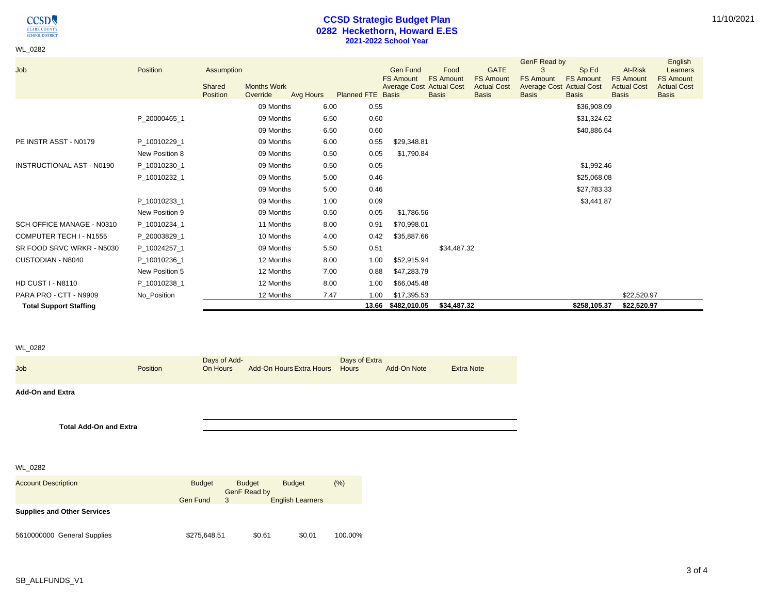**CCSD CLARK COUNTY**<br>**SCHOOL DISTRICT** 

WL\_0282

# **CCSD Strategic Budget Plan 0282 Heckethorn, Howard E.ES 2021-2022 School Year**

| Job                              | Position       | Assumption<br><b>Months Work</b><br>Shared<br>Position<br>Override | Avg Hours | Planned FTE Basis | <b>Gen Fund</b><br><b>FS Amount</b><br><b>Average Cost Actual Cost</b> | Food<br><b>FS Amount</b><br><b>Basis</b> | <b>GATE</b><br><b>FS Amount</b><br><b>Actual Cost</b><br><b>Basis</b> | GenF Read by<br>3<br><b>FS Amount</b><br><b>Average Cost Actual Cost</b><br><b>Basis</b> | Sp Ed<br><b>FS Amount</b><br><b>Basis</b> | At-Risk<br><b>FS Amount</b><br><b>Actual Cost</b><br><b>Basis</b> | English<br>Learners<br><b>FS Amount</b><br><b>Actual Cost</b><br><b>Basis</b> |
|----------------------------------|----------------|--------------------------------------------------------------------|-----------|-------------------|------------------------------------------------------------------------|------------------------------------------|-----------------------------------------------------------------------|------------------------------------------------------------------------------------------|-------------------------------------------|-------------------------------------------------------------------|-------------------------------------------------------------------------------|
|                                  |                |                                                                    | 09 Months | 6.00<br>0.55      |                                                                        |                                          |                                                                       |                                                                                          | \$36,908.09                               |                                                                   |                                                                               |
|                                  | P_20000465_1   |                                                                    | 09 Months | 6.50<br>0.60      |                                                                        |                                          |                                                                       |                                                                                          | \$31,324.62                               |                                                                   |                                                                               |
|                                  |                |                                                                    | 09 Months | 0.60<br>6.50      |                                                                        |                                          |                                                                       |                                                                                          | \$40,886.64                               |                                                                   |                                                                               |
| PE INSTR ASST - N0179            | P 10010229 1   |                                                                    | 09 Months | 6.00<br>0.55      | \$29,348.81                                                            |                                          |                                                                       |                                                                                          |                                           |                                                                   |                                                                               |
|                                  | New Position 8 |                                                                    | 09 Months | 0.50<br>0.05      | \$1,790.84                                                             |                                          |                                                                       |                                                                                          |                                           |                                                                   |                                                                               |
| <b>INSTRUCTIONAL AST - N0190</b> | P_10010230_1   |                                                                    | 09 Months | 0.50<br>0.05      |                                                                        |                                          |                                                                       |                                                                                          | \$1,992.46                                |                                                                   |                                                                               |
|                                  | P_10010232_1   |                                                                    | 09 Months | 0.46<br>5.00      |                                                                        |                                          |                                                                       |                                                                                          | \$25,068.08                               |                                                                   |                                                                               |
|                                  |                |                                                                    | 09 Months | 0.46<br>5.00      |                                                                        |                                          |                                                                       |                                                                                          | \$27,783.33                               |                                                                   |                                                                               |
|                                  | P_10010233_1   |                                                                    | 09 Months | 0.09<br>1.00      |                                                                        |                                          |                                                                       |                                                                                          | \$3,441.87                                |                                                                   |                                                                               |
|                                  | New Position 9 |                                                                    | 09 Months | 0.50<br>0.05      | \$1,786.56                                                             |                                          |                                                                       |                                                                                          |                                           |                                                                   |                                                                               |
| SCH OFFICE MANAGE - N0310        | P_10010234_1   |                                                                    | 11 Months | 8.00<br>0.91      | \$70,998.01                                                            |                                          |                                                                       |                                                                                          |                                           |                                                                   |                                                                               |
| COMPUTER TECH I - N1555          | P_20003829_1   |                                                                    | 10 Months | 0.42<br>4.00      | \$35,887.66                                                            |                                          |                                                                       |                                                                                          |                                           |                                                                   |                                                                               |
| SR FOOD SRVC WRKR - N5030        | P 10024257 1   |                                                                    | 09 Months | 0.51<br>5.50      |                                                                        | \$34,487.32                              |                                                                       |                                                                                          |                                           |                                                                   |                                                                               |
| CUSTODIAN - N8040                | P 10010236 1   |                                                                    | 12 Months | 8.00<br>1.00      | \$52,915.94                                                            |                                          |                                                                       |                                                                                          |                                           |                                                                   |                                                                               |
|                                  | New Position 5 |                                                                    | 12 Months | 7.00<br>0.88      | \$47,283.79                                                            |                                          |                                                                       |                                                                                          |                                           |                                                                   |                                                                               |
| <b>HD CUST I - N8110</b>         | P 10010238 1   |                                                                    | 12 Months | 8.00<br>1.00      | \$66,045.48                                                            |                                          |                                                                       |                                                                                          |                                           |                                                                   |                                                                               |
| PARA PRO - CTT - N9909           | No Position    |                                                                    | 12 Months | 7.47<br>1.00      | \$17,395.53                                                            |                                          |                                                                       |                                                                                          |                                           | \$22,520.97                                                       |                                                                               |
| <b>Total Support Staffing</b>    |                |                                                                    |           | 13.66             | \$482,010.05                                                           | \$34,487.32                              |                                                                       |                                                                                          | \$258,105.37                              | \$22,520.97                                                       |                                                                               |

#### WL\_0282

| Job                                | Position        | Days of Add-<br>On Hours | Add-On Hours Extra Hours                       | Days of Extra<br>Hours | Add-On Note | <b>Extra Note</b> |
|------------------------------------|-----------------|--------------------------|------------------------------------------------|------------------------|-------------|-------------------|
| <b>Add-On and Extra</b>            |                 |                          |                                                |                        |             |                   |
|                                    |                 |                          |                                                |                        |             |                   |
| <b>Total Add-On and Extra</b>      |                 |                          |                                                |                        |             |                   |
|                                    |                 |                          |                                                |                        |             |                   |
|                                    |                 |                          |                                                |                        |             |                   |
| WL_0282                            |                 |                          |                                                |                        |             |                   |
| <b>Account Description</b>         |                 | <b>Budget</b>            | <b>Budget</b><br><b>Budget</b><br>GenF Read by | (% )                   |             |                   |
|                                    | <b>Gen Fund</b> | 3                        | <b>English Learners</b>                        |                        |             |                   |
| <b>Supplies and Other Services</b> |                 |                          |                                                |                        |             |                   |

5610000000 General Supplies \$275,648.51 \$0.61 \$0.01 100.00%

11/10/2021